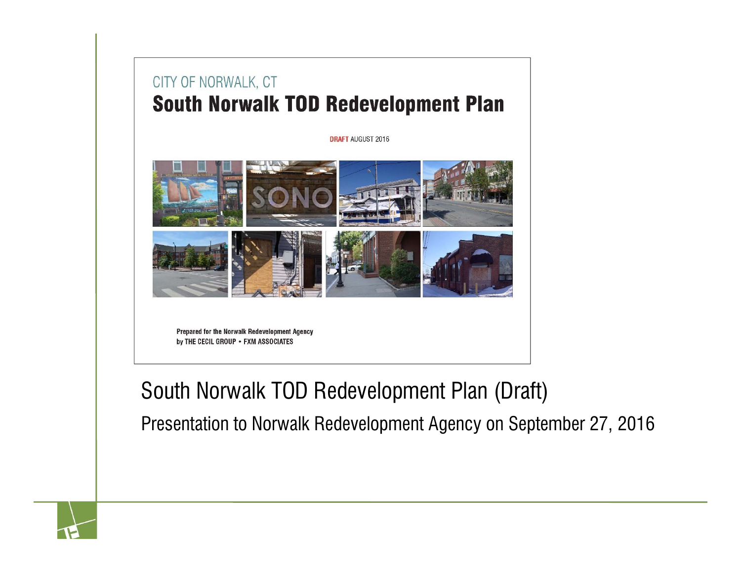### CITY OF NORWALK, CT **South Norwalk TOD Redevelopment Plan**

**DRAFT AUGUST 2016** 



Prepared for the Norwalk Redevelopment Agency by THE CECIL GROUP . FXM ASSOCIATES

### South Norwalk TOD Redevelopment Plan (Draft)

Presentation to Norwalk Redevelopment Agency on September 27, 2016

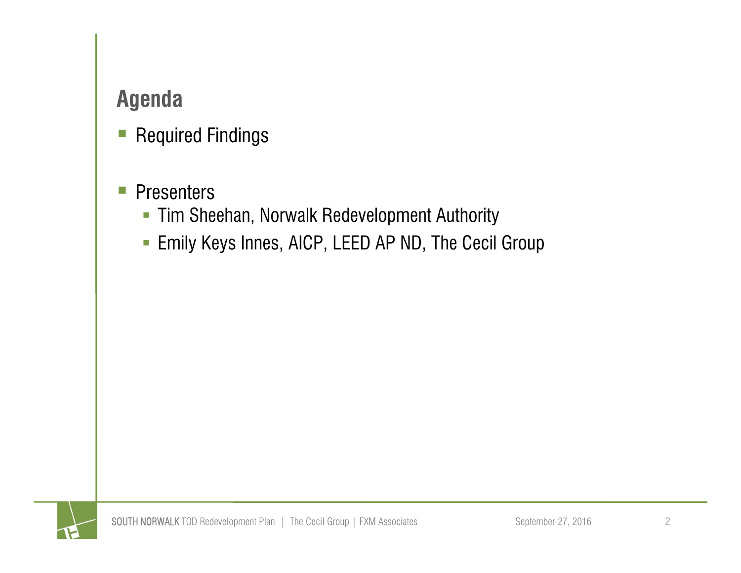### **Agenda**

- $\mathcal{L}_{\mathcal{A}}$ Required Findings
- $\vert \hspace{.06cm} \vert$ **Presenters** 
	- Tim Sheehan, Norwalk Redevelopment Authority
	- $\Box$ Emily Keys Innes, AICP, LEED AP ND, The Cecil Group

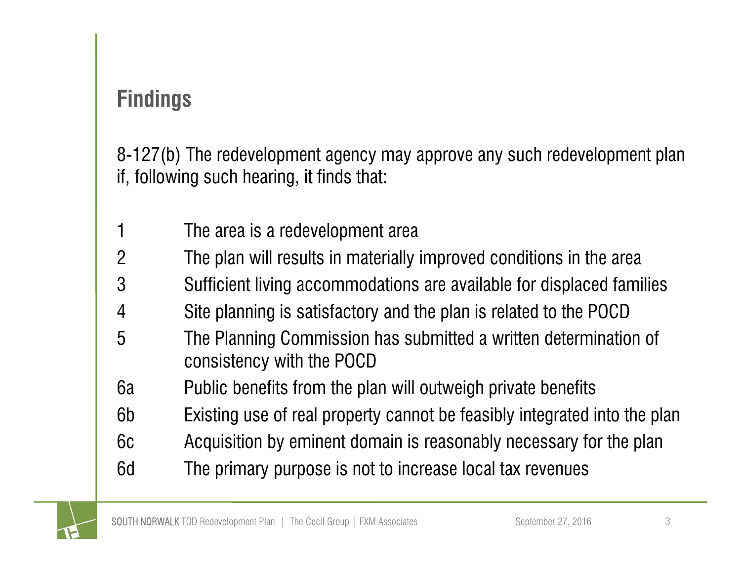8-127(b) The redevelopment agency may approve any such redevelopment plan if, following such hearing, it finds that:

- 1 The area is a redevelopment area
- 2 The plan will results in materially improved conditions in the area
- 3 Sufficient living accommodations are available for displaced families
- 4 Site planning is satisfactory and the plan is related to the POCD
- 5 The Planning Commission has submitted a written determination of consistency with the POCD
- 6a Public benefits from the plan will outweigh private benefits
- 6b Existing use of real property cannot be feasibly integrated into the plan
- 6c Acquisition by eminent domain is reasonably necessary for the plan
- 6d The primary purpose is not to increase local tax revenues

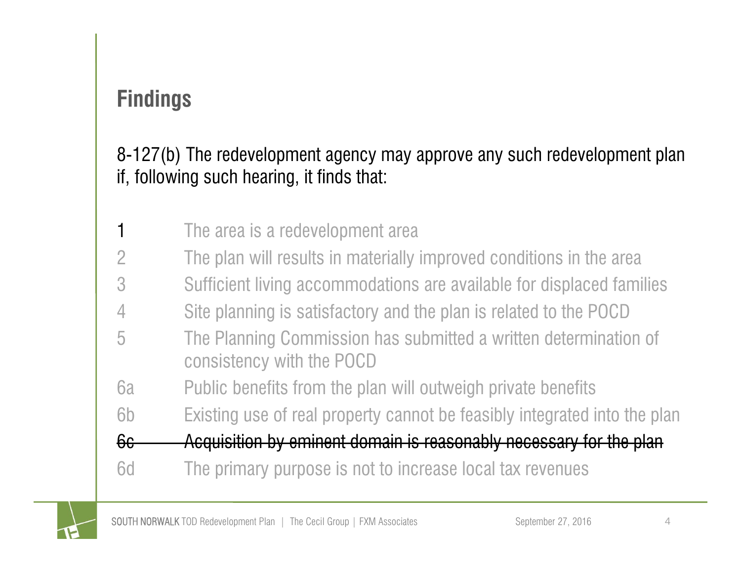### 8-127(b) The redevelopment agency may approve any such redevelopment plan if, following such hearing, it finds that:

- 1The area is a redevelopment area
- 2 The plan will results in materially improved conditions in the area
- 3 Sufficient living accommodations are available for displaced families
- 4 Site planning is satisfactory and the plan is related to the POCD
- 5 The Planning Commission has submitted a written determination of consistency with the POCD
- 6a Public benefits from the plan will outweigh private benefits
- 6b Existing use of real property cannot be feasibly integrated into the plan
- 6c Acquisition by eminent domain is reasonably necessary for the plan
- 6d The primary purpose is not to increase local tax revenues

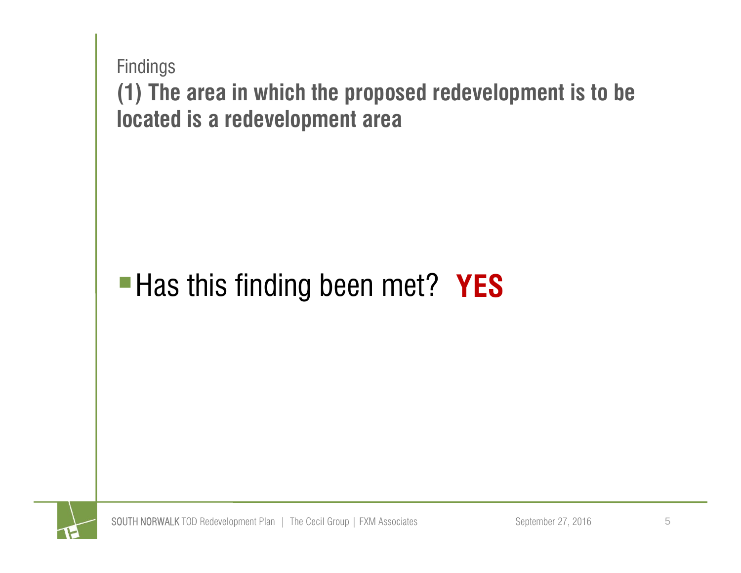

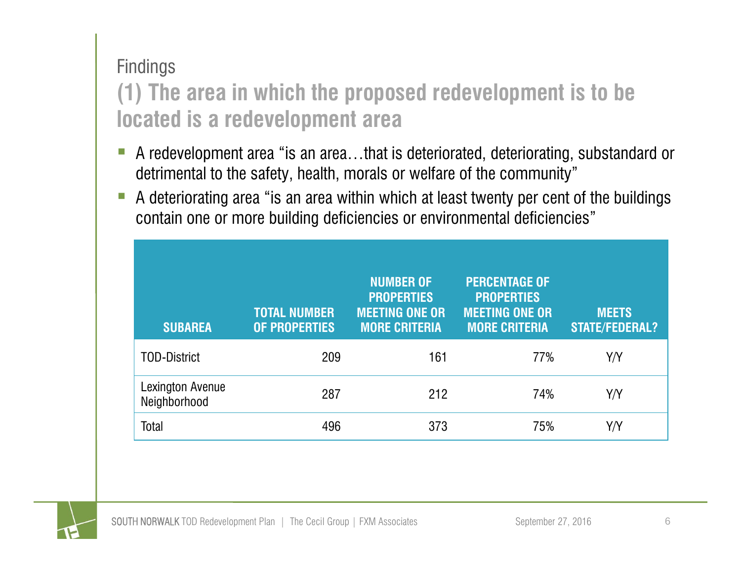### **(1) The area in which the proposed redevelopment is to be located is a redevelopment area**

- A redevelopment area "is an area…that is deteriorated, deteriorating, substandard or detrimental to the safety, health, morals or welfare of the community"
- $\mathcal{C}^{\mathcal{A}}$  A deteriorating area "is an area within which at least twenty per cent of the buildings contain one or more building deficiencies or environmental deficiencies"

| <b>SUBAREA</b>                          | <b>TOTAL NUMBER</b><br><b>OF PROPERTIES</b> | <b>NUMBER OF</b><br><b>PROPERTIES</b><br><b>MEETING ONE OR</b><br><b>MORE CRITERIA</b> | <b>PERCENTAGE OF</b><br><b>PROPERTIES</b><br><b>MEETING ONE OR</b><br><b>MORE CRITERIA</b> | <b>MEETS</b><br><b>STATE/FEDERAL?</b> |
|-----------------------------------------|---------------------------------------------|----------------------------------------------------------------------------------------|--------------------------------------------------------------------------------------------|---------------------------------------|
| <b>TOD-District</b>                     | 209                                         | 161                                                                                    | 77%                                                                                        | Y/Y                                   |
| <b>Lexington Avenue</b><br>Neighborhood | 287                                         | 212                                                                                    | 74%                                                                                        | Y/Y                                   |
| Total                                   | 496                                         | 373                                                                                    | 75%                                                                                        | Y/Y                                   |

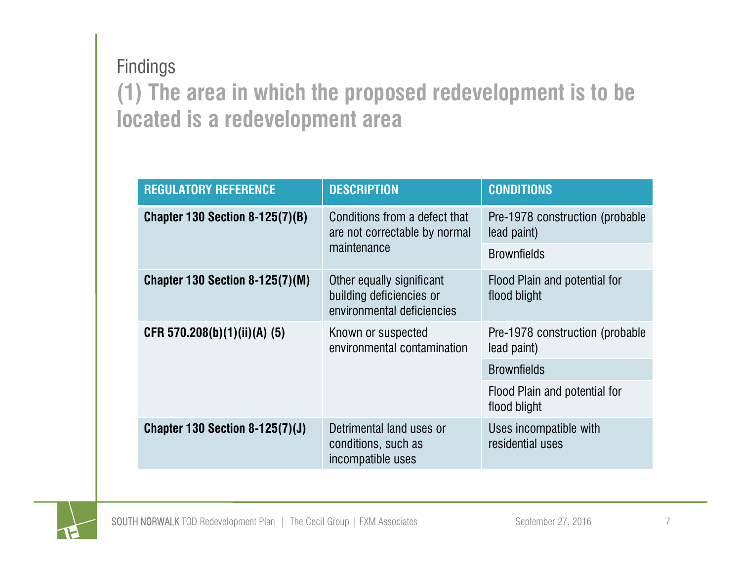### **(1) The area in which the proposed redevelopment is to be located is a redevelopment area** Findings

| <b>REGULATORY REFERENCE</b>            | <b>DESCRIPTION</b>                                                                  | <b>CONDITIONS</b>                               |  |
|----------------------------------------|-------------------------------------------------------------------------------------|-------------------------------------------------|--|
| <b>Chapter 130 Section 8-125(7)(B)</b> | Conditions from a defect that<br>are not correctable by normal                      | Pre-1978 construction (probable<br>lead paint)  |  |
|                                        | maintenance                                                                         | <b>Brownfields</b>                              |  |
| <b>Chapter 130 Section 8-125(7)(M)</b> | Other equally significant<br>building deficiencies or<br>environmental deficiencies | Flood Plain and potential for<br>flood blight   |  |
| CFR 570.208(b)(1)(ii)(A) (5)           | Known or suspected<br>environmental contamination                                   | Pre-1978 construction (probable)<br>lead paint) |  |
|                                        |                                                                                     | <b>Brownfields</b>                              |  |
|                                        |                                                                                     | Flood Plain and potential for<br>flood blight   |  |
| Chapter 130 Section 8-125 $(7)(J)$     | Detrimental land uses or<br>conditions, such as<br>incompatible uses                | Uses incompatible with<br>residential uses      |  |

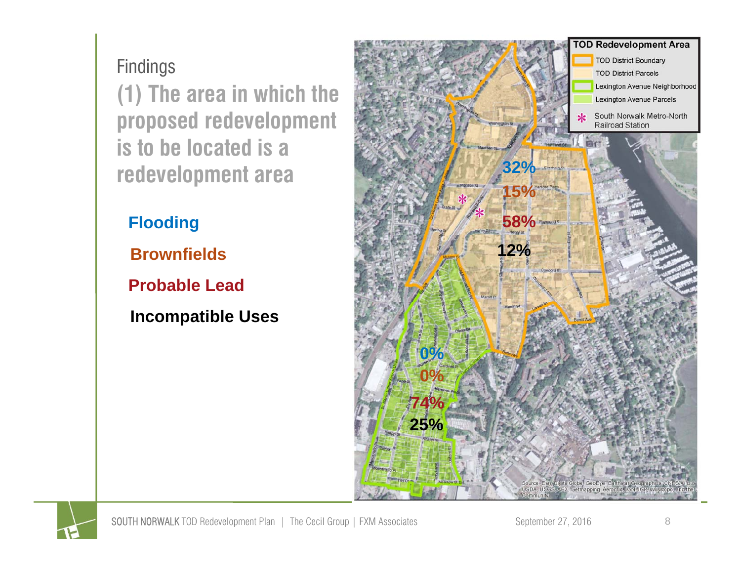**(1) The area in which the proposed redevelopment is to be located is a redevelopment area**

**Flooding**

**Brownfields**

**Probable Lead**

**Incompatible Uses**



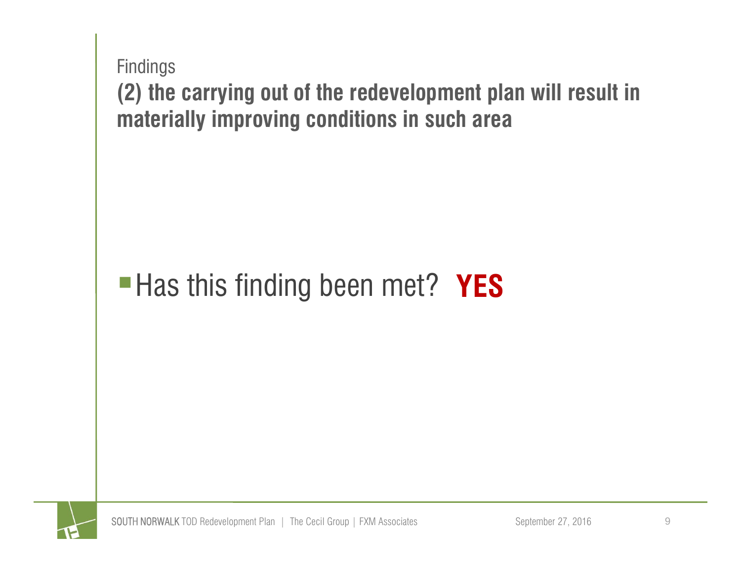

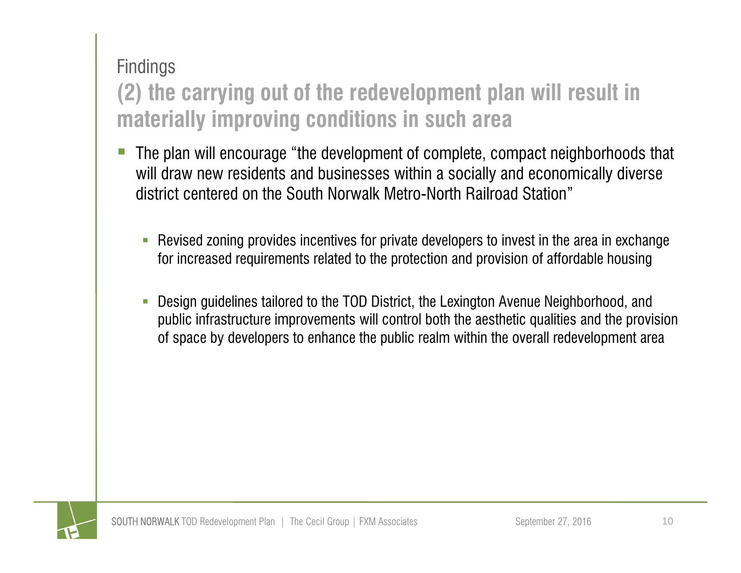### **(2) the carrying out of the redevelopment plan will result in materially improving conditions in such area**

- The plan will encourage "the development of complete, compact neighborhoods that will draw new residents and businesses within a socially and economically diverse district centered on the South Norwalk Metro-North Railroad Station"
	- $\overline{\phantom{a}}$  Revised zoning provides incentives for private developers to invest in the area in exchange for increased requirements related to the protection and provision of affordable housing
	- T. Design guidelines tailored to the TOD District, the Lexington Avenue Neighborhood, and public infrastructure improvements will control both the aesthetic qualities and the provision of space by developers to enhance the public realm within the overall redevelopment area

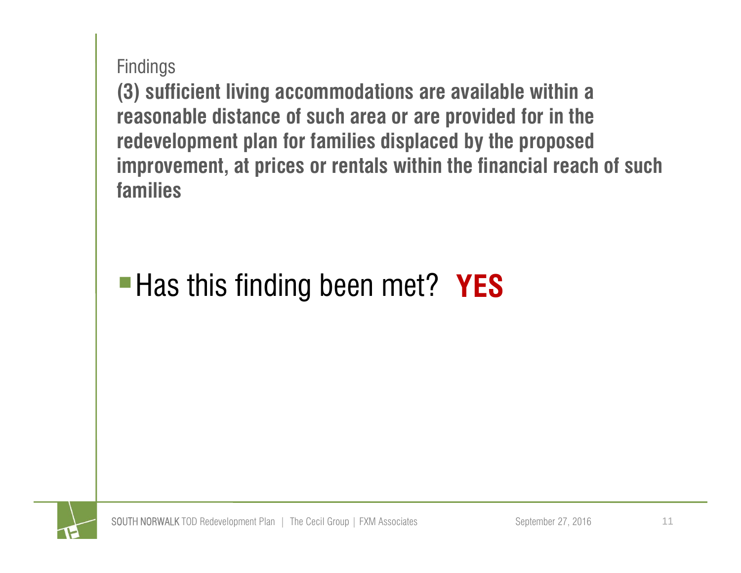**(3) sufficient living accommodations are available within a reasonable distance of such area or are provided for in the redevelopment plan for families displaced by the proposed improvement, at prices or rentals within the financial reach of such families** 

## **Has this finding been met? YES**

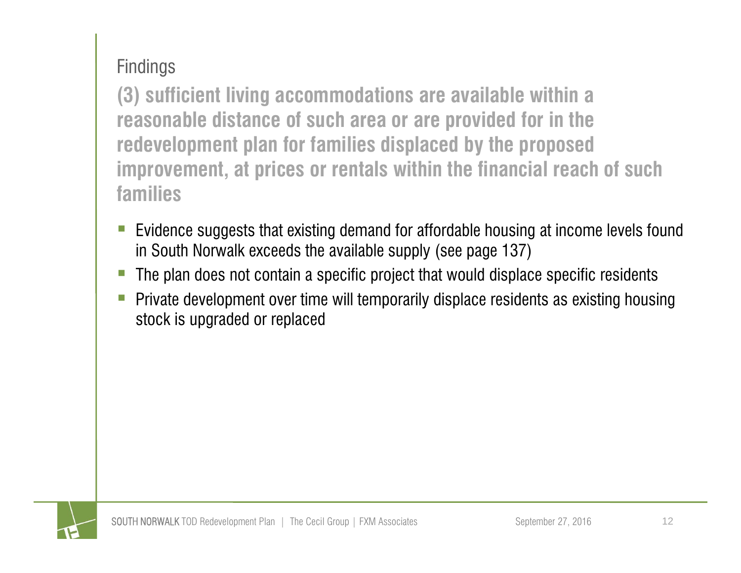**(3) sufficient living accommodations are available within a reasonable distance of such area or are provided for in the redevelopment plan for families displaced by the proposed improvement, at prices or rentals within the financial reach of such families** 

- e<br>S Evidence suggests that existing demand for affordable housing at income levels found in South Norwalk exceeds the available supply (see page 137)
- The plan does not contain a specific project that would displace specific residents
- e<br>S Private development over time will temporarily displace residents as existing housing stock is upgraded or replaced

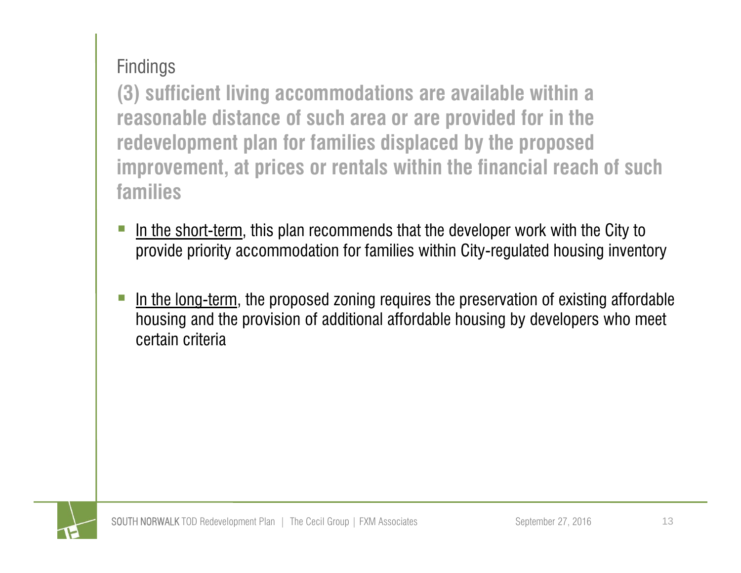**(3) sufficient living accommodations are available within a reasonable distance of such area or are provided for in the redevelopment plan for families displaced by the proposed improvement, at prices or rentals within the financial reach of such families** 

- e<br>S In the short-term, this plan recommends that the developer work with the City to provide priority accommodation for families within City-regulated housing inventory
- e<br>S In the long-term, the proposed zoning requires the preservation of existing affordable housing and the provision of additional affordable housing by developers who meet certain criteria

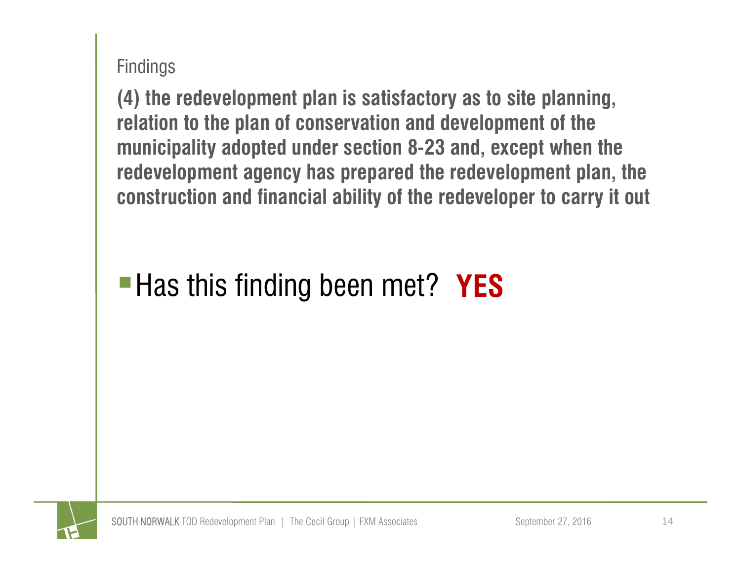**(4) the redevelopment plan is satisfactory as to site planning, relation to the plan of conservation and development of the municipality adopted under section 8-23 and, except when the redevelopment agency has prepared the redevelopment plan, the construction and financial ability of the redeveloper to carry it out**

### **Has this finding been met? YES**

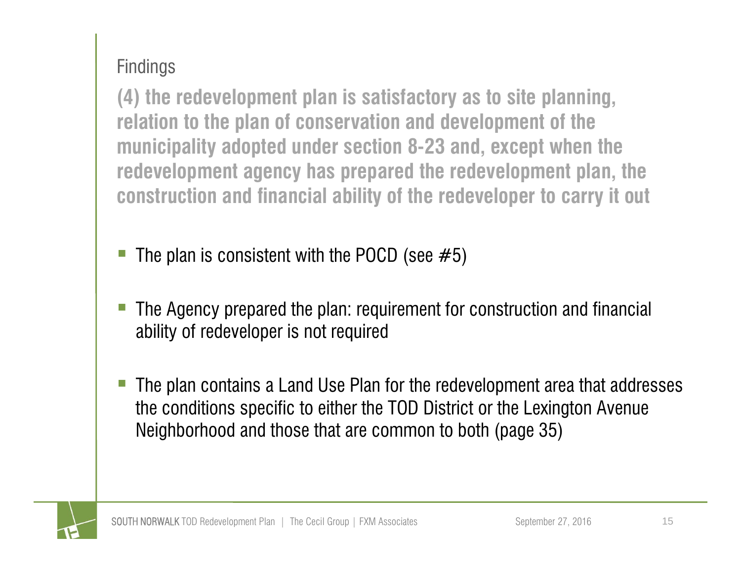**(4) the redevelopment plan is satisfactory as to site planning, relation to the plan of conservation and development of the municipality adopted under section 8-23 and, except when the redevelopment agency has prepared the redevelopment plan, the construction and financial ability of the redeveloper to carry it out**

- The plan is consistent with the POCD (see  $#5$ )
- Ξ The Agency prepared the plan: requirement for construction and financial ability of redeveloper is not required
- The plan contains a Land Use Plan for the redevelopment area that addresses the conditions specific to either the TOD District or the Lexington Avenue Neighborhood and those that are common to both (page 35)

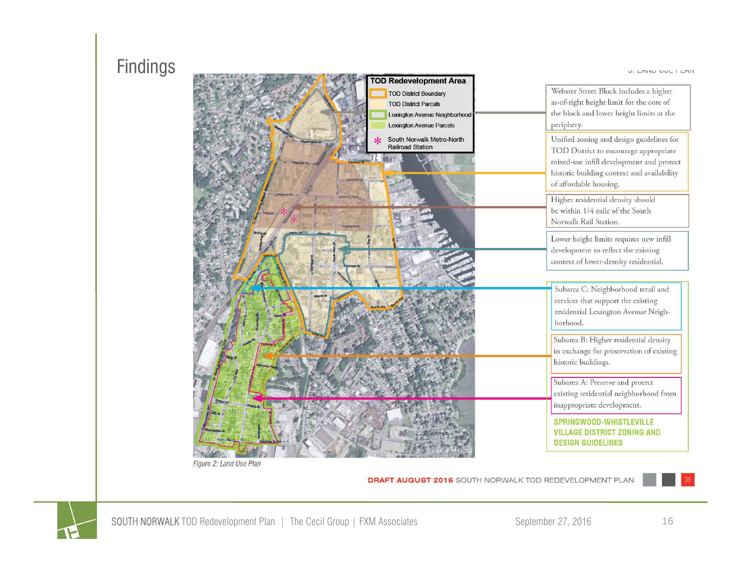

**DRAFT AUGUST 2016** SOUTH NORWALK TOD REDEVELOPMENT PLAN



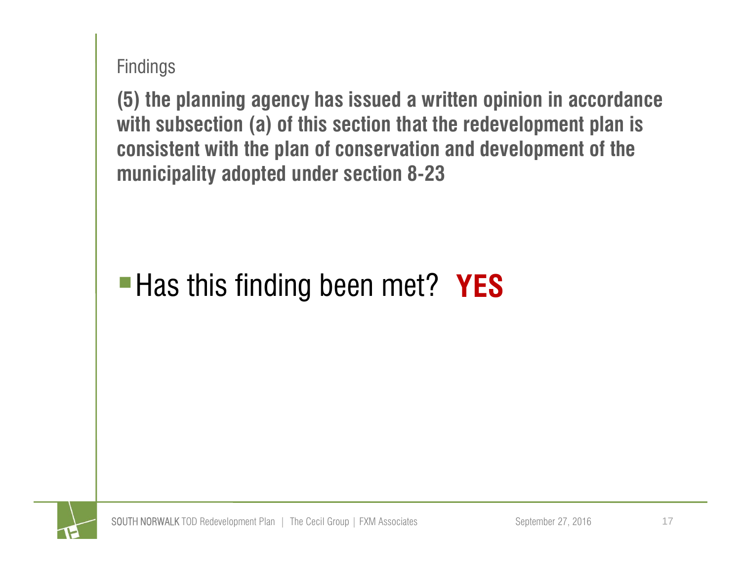**(5) the planning agency has issued a written opinion in accordance with subsection (a) of this section that the redevelopment plan is consistent with the plan of conservation and development of the municipality adopted under section 8-23**

### **Has this finding been met? YES**

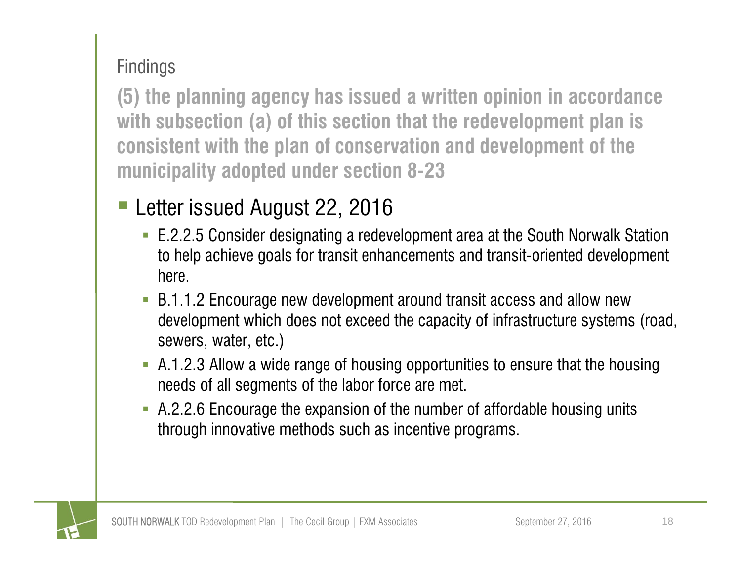**(5) the planning agency has issued a written opinion in accordance with subsection (a) of this section that the redevelopment plan is consistent with the plan of conservation and development of the municipality adopted under section 8-23**

- Letter issued August 22, 2016
	- E.2.2.5 Consider designating a redevelopment area at the South Norwalk Station to help achieve goals for transit enhancements and transit-oriented development here.
	- B.1.1.2 Encourage new development around transit access and allow new development which does not exceed the capacity of infrastructure systems (road, sewers, water, etc.)
	- A.1.2.3 Allow a wide range of housing opportunities to ensure that the housing needs of all segments of the labor force are met.
	- A.2.2.6 Encourage the expansion of the number of affordable housing units through innovative methods such as incentive programs.

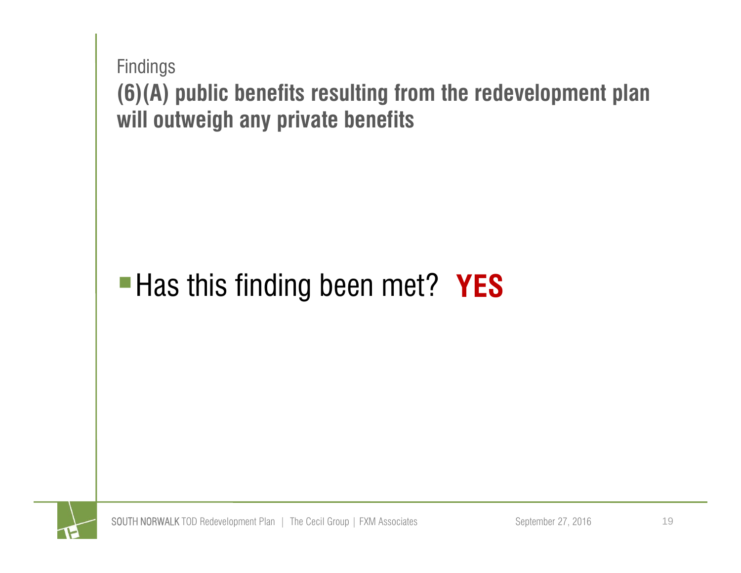

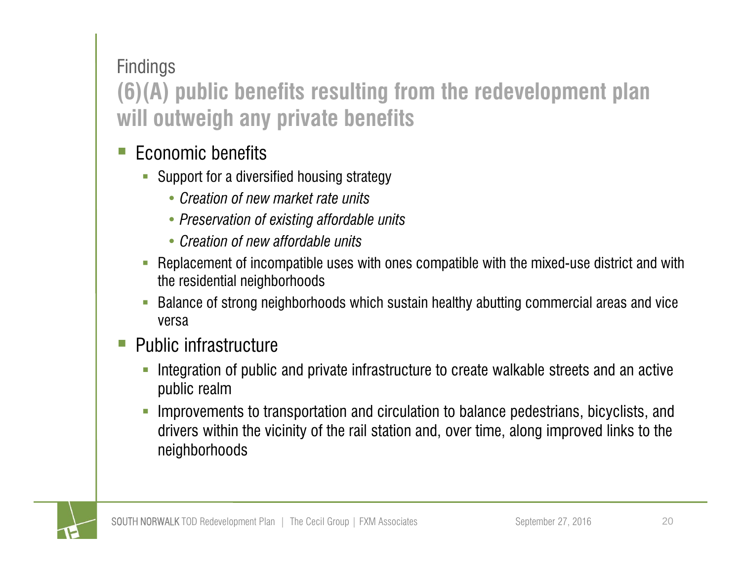### **(6)(A) public benefits resulting from the redevelopment plan will outweigh any private benefits**

- Ξ Economic benefits
	- **Support for a diversified housing strategy** 
		- *Creation of new market rate units*
		- *Preservation of existing affordable units*
		- *Creation of new affordable units*
	- $\overline{\phantom{a}}$  Replacement of incompatible uses with ones compatible with the mixed-use district and with the residential neighborhoods
	- $\overline{\phantom{a}}$  Balance of strong neighborhoods which sustain healthy abutting commercial areas and vice versa
- Ξ Public infrastructure
	- $\overline{\phantom{a}}$  Integration of public and private infrastructure to create walkable streets and an active public realm
	- $\Box$  Improvements to transportation and circulation to balance pedestrians, bicyclists, and drivers within the vicinity of the rail station and, over time, along improved links to the neighborhoods

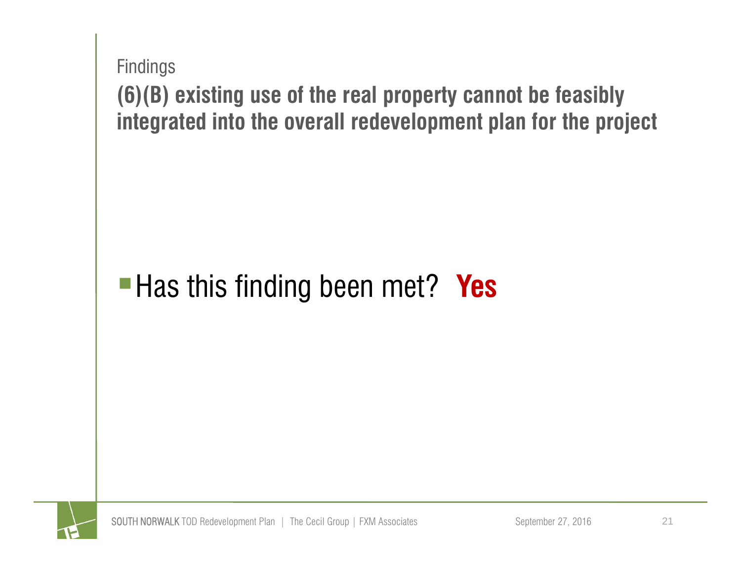

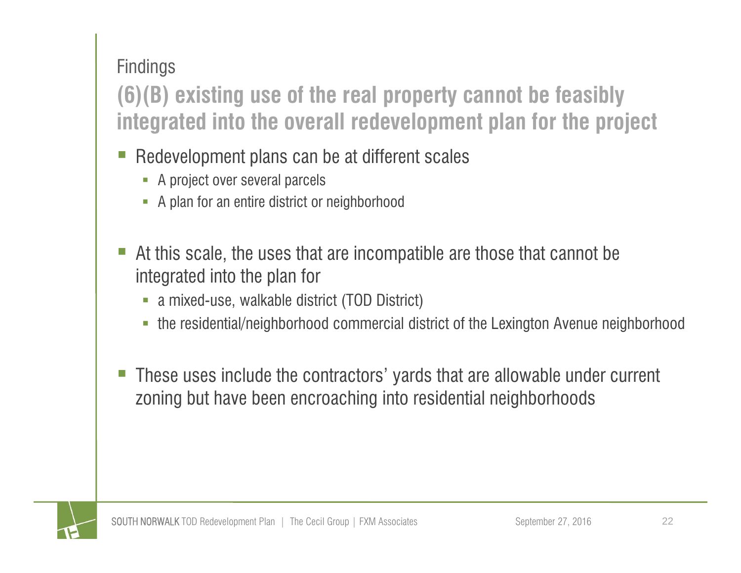**(6)(B) existing use of the real property cannot be feasibly integrated into the overall redevelopment plan for the project**

- Ξ Redevelopment plans can be at different scales
	- **A** project over several parcels
	- A plan for an entire district or neighborhood
- At this scale, the uses that are incompatible are those that cannot be integrated into the plan for
	- a mixed-use, walkable district (TOD District)
	- the residential/neighborhood commercial district of the Lexington Avenue neighborhood
- These uses include the contractors' yards that are allowable under current zoning but have been encroaching into residential neighborhoods

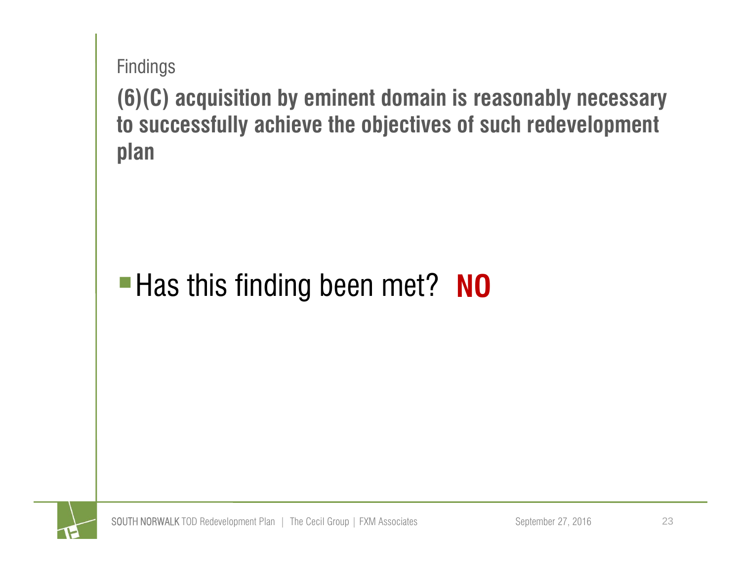**(6)(C) acquisition by eminent domain is reasonably necessary to successfully achieve the objectives of such redevelopment plan**

### **Has this finding been met? NO**

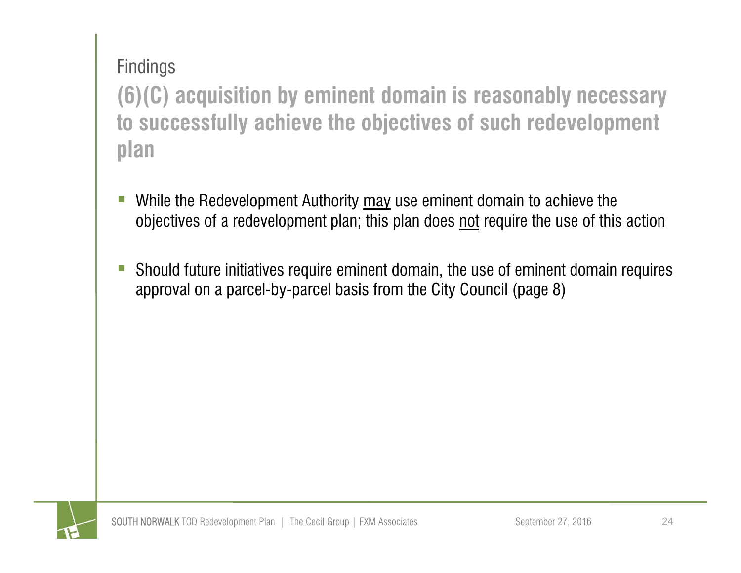**(6)(C) acquisition by eminent domain is reasonably necessary to successfully achieve the objectives of such redevelopment plan**

- While the Redevelopment Authority may use eminent domain to achieve the objectives of a redevelopment plan; this plan does not require the use of this action
- e<br>S Should future initiatives require eminent domain, the use of eminent domain requires approval on a parcel-by-parcel basis from the City Council (page 8)

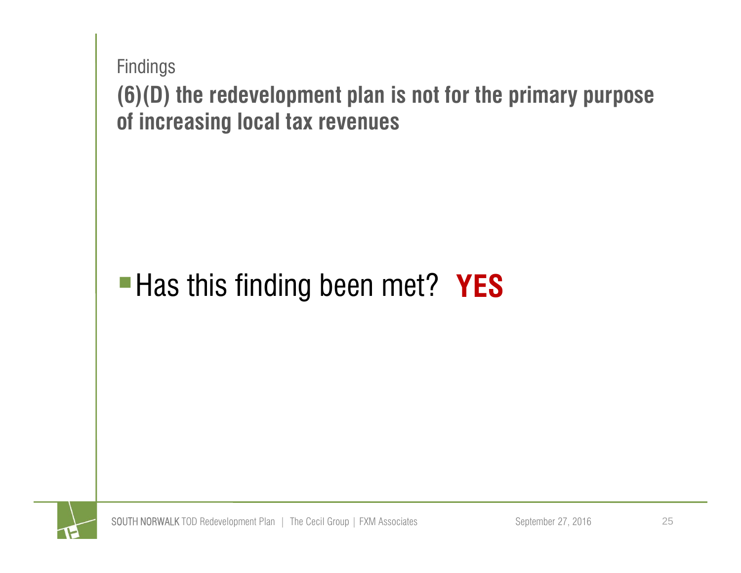

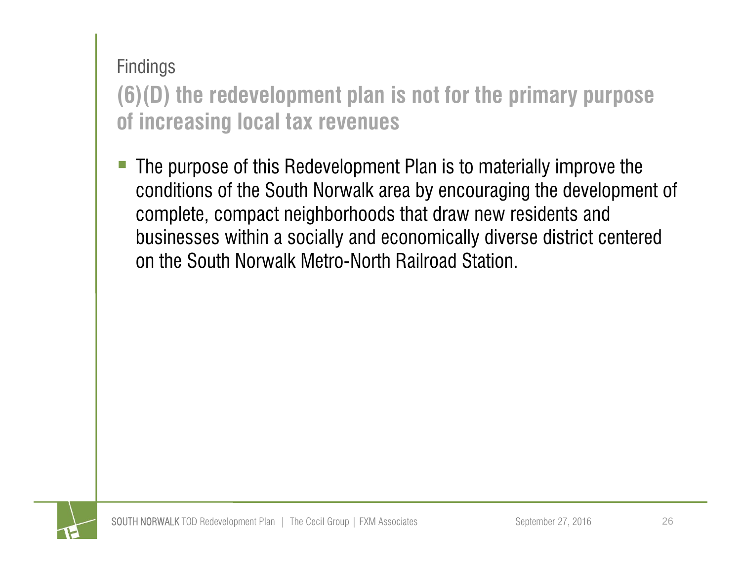**(6)(D) the redevelopment plan is not for the primary purpose of increasing local tax revenues**

 The purpose of this Redevelopment Plan is to materially improve the conditions of the South Norwalk area by encouraging the development of complete, compact neighborhoods that draw new residents and businesses within a socially and economically diverse district centered on the South Norwalk Metro-North Railroad Station.

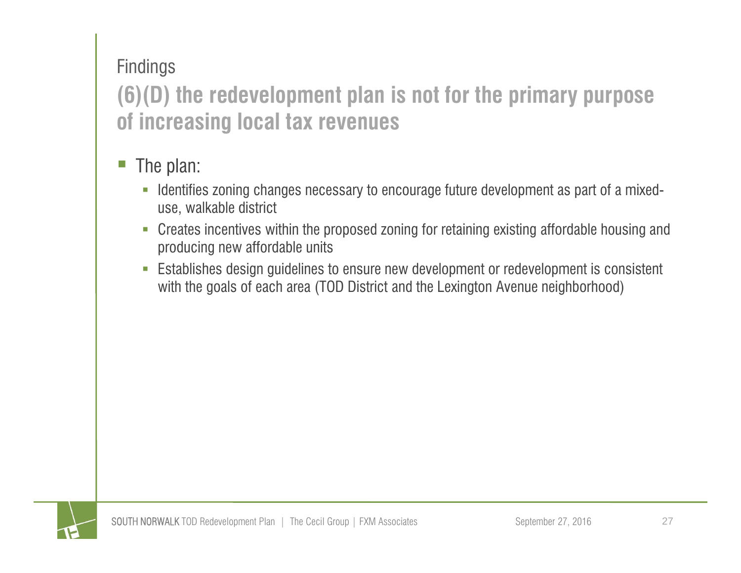### **(6)(D) the redevelopment plan is not for the primary purpose of increasing local tax revenues**

#### The plan:

- **I** Identifies zoning changes necessary to encourage future development as part of a mixeduse, walkable district
- Creates incentives within the proposed zoning for retaining existing affordable housing and producing new affordable units
- $\overline{\phantom{a}}$  Establishes design guidelines to ensure new development or redevelopment is consistent with the goals of each area (TOD District and the Lexington Avenue neighborhood)